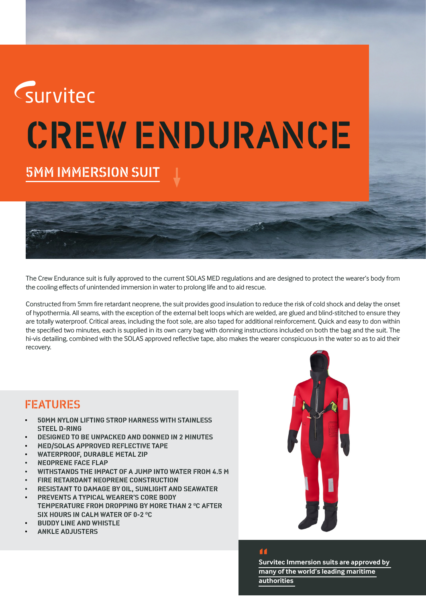

The Crew Endurance suit is fully approved to the current SOLAS MED regulations and are designed to protect the wearer's body from the cooling effects of unintended immersion in water to prolong life and to aid rescue.

Constructed from 5mm fire retardant neoprene, the suit provides good insulation to reduce the risk of cold shock and delay the onset of hypothermia. All seams, with the exception of the external belt loops which are welded, are glued and blind-stitched to ensure they are totally waterproof. Critical areas, including the foot sole, are also taped for additional reinforcement. Quick and easy to don within the specified two minutes, each is supplied in its own carry bag with donning instructions included on both the bag and the suit. The hi-vis detailing, combined with the SOLAS approved reflective tape, also makes the wearer conspicuous in the water so as to aid their recovery.

## FEATURES

- 50MM NYLON LIFTING STROP HARNESS WITH STAINLESS STEEL D-RING
- DESIGNED TO BE UNPACKED AND DONNED IN 2 MINUTES
- MED/SOLAS APPROVED REFLECTIVE TAPE
- WATERPROOF, DURABLE METAL ZIP
- NEOPRENE FACE FLAP
- WITHSTANDS THE IMPACT OF A JUMP INTO WATER FROM 4.5 M
- FIRE RETARDANT NEOPRENE CONSTRUCTION
- RESISTANT TO DAMAGE BY OIL, SUNLIGHT AND SEAWATER • PREVENTS A TYPICAL WEARER'S CORE BODY
- TEMPERATURE FROM DROPPING BY MORE THAN 2 °C AFTER SIX HOURS IN CALM WATER OF 0-2 °C
- BUDDY LINE AND WHISTLE
- ANKLE ADJUSTERS



## "

**Survitec Immersion suits are approved by many of the world's leading maritime authorities**